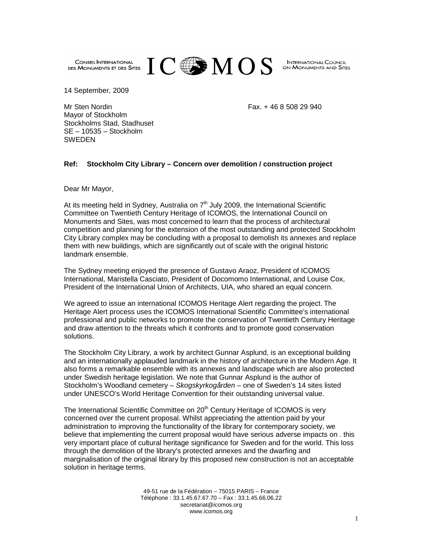

**INTERNATIONAL COUNCIL** ON MONUMENTS AND SITES

14 September, 2009

Mr Sten Nordin Fax. + 46 8 508 29 940

Mayor of Stockholm Stockholms Stad, Stadhuset SE – 10535 – Stockholm SWEDEN

## **Ref: Stockholm City Library – Concern over demolition / construction project**

Dear Mr Mayor,

At its meeting held in Sydney, Australia on  $7<sup>th</sup>$  July 2009, the International Scientific Committee on Twentieth Century Heritage of ICOMOS, the International Council on Monuments and Sites, was most concerned to learn that the process of architectural competition and planning for the extension of the most outstanding and protected Stockholm City Library complex may be concluding with a proposal to demolish its annexes and replace them with new buildings, which are significantly out of scale with the original historic landmark ensemble.

The Sydney meeting enjoyed the presence of Gustavo Araoz, President of ICOMOS International, Maristella Casciato, President of Docomomo International, and Louise Cox, President of the International Union of Architects, UIA, who shared an equal concern.

We agreed to issue an international ICOMOS Heritage Alert regarding the project. The Heritage Alert process uses the ICOMOS International Scientific Committee's international professional and public networks to promote the conservation of Twentieth Century Heritage and draw attention to the threats which it confronts and to promote good conservation solutions.

The Stockholm City Library, a work by architect Gunnar Asplund, is an exceptional building and an internationally applauded landmark in the history of architecture in the Modern Age. It also forms a remarkable ensemble with its annexes and landscape which are also protected under Swedish heritage legislation. We note that Gunnar Asplund is the author of Stockholm's Woodland cemetery – Skogskyrkogården – one of Sweden's 14 sites listed under UNESCO's World Heritage Convention for their outstanding universal value.

The International Scientific Committee on  $20<sup>th</sup>$  Century Heritage of ICOMOS is very concerned over the current proposal. Whilst appreciating the attention paid by your administration to improving the functionality of the library for contemporary society, we believe that implementing the current proposal would have serious adverse impacts on . this very important place of cultural heritage significance for Sweden and for the world. This loss through the demolition of the library's protected annexes and the dwarfing and marginalisation of the original library by this proposed new construction is not an acceptable solution in heritage terms.

> 49-51 rue de la Fédération – 75015 PARIS – France Téléphone : 33.1.45.67.67.70 – Fax : 33.1.45.66.06.22 secretariat@icomos.org www.icomos.org